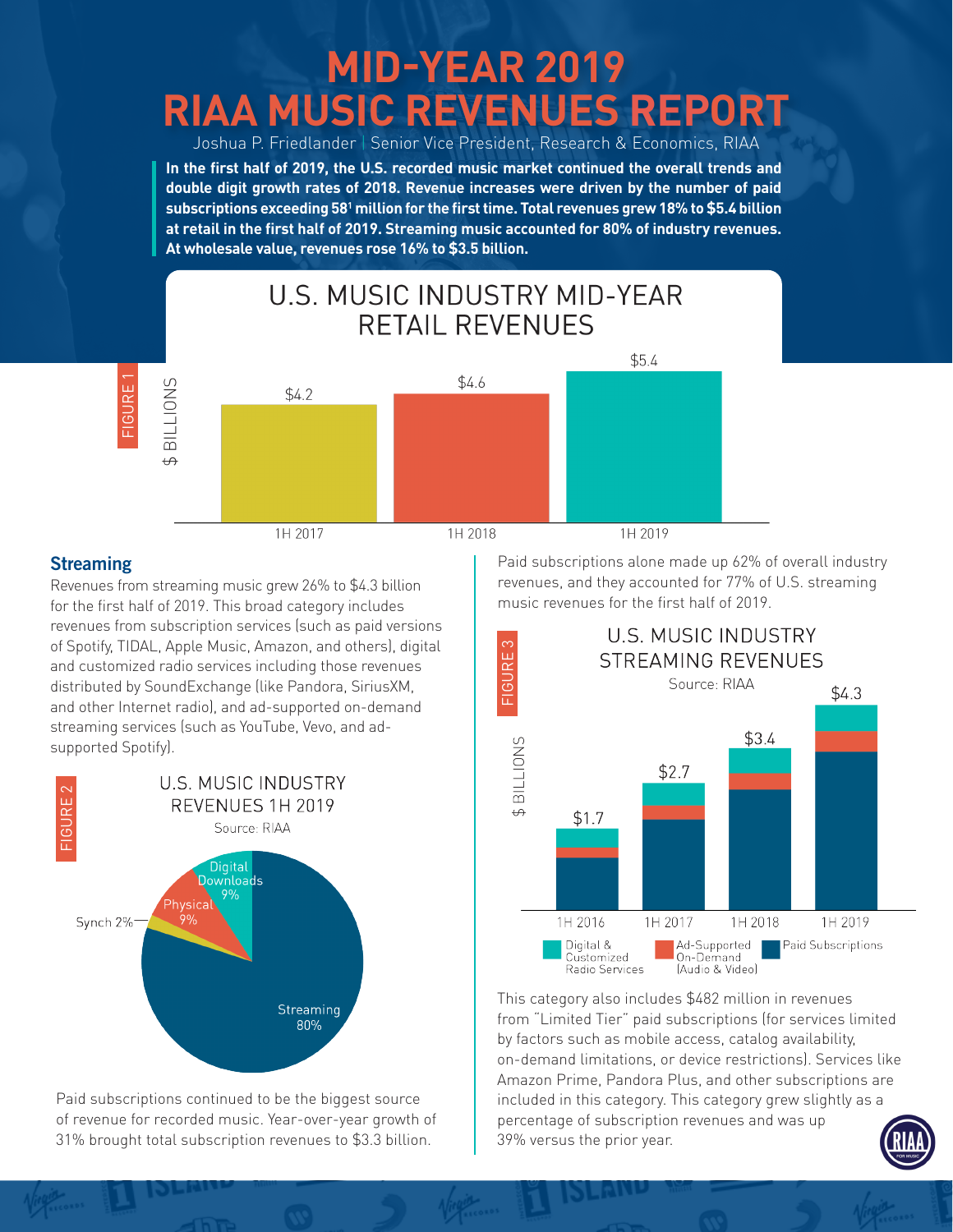# **MID-YEAR 2019 RIAA MUSIC REVENUES REPORT**

Joshua P. Friedlander | Senior Vice President, Research & Economics, RIAA **In the first half of 2019, the U.S. recorded music market continued the overall trends and double digit growth rates of 2018. Revenue increases were driven by the number of paid subscriptions exceeding 581 million for the first time. Total revenues grew 18% to \$5.4 billion at retail in the first half of 2019. Streaming music accounted for 80% of industry revenues. At wholesale value, revenues rose 16% to \$3.5 billion.**



### **Streaming**

Revenues from streaming music grew 26% to \$4.3 billion for the first half of 2019. This broad category includes revenues from subscription services (such as paid versions of Spotify, TIDAL, Apple Music, Amazon, and others), digital and customized radio services including those revenues distributed by SoundExchange (like Pandora, SiriusXM, and other Internet radio), and ad-supported on-demand streaming services (such as YouTube, Vevo, and adsupported Spotify).<br>
Streaming<br>
Revenues from stre<br>
for the first half of 2<br>
revenues from subs<br>
of Spotify, TIDAL, Ap<br>
and customized race<br>
distributed by Soun<br>
and other Internet r<br>
streaming services<br>
supported Spotify]



Paid subscriptions continued to be the biggest source of revenue for recorded music. Year-over-year growth of 31% brought total subscription revenues to \$3.3 billion.

Paid subscriptions alone made up 62% of overall industry revenues, and they accounted for 77% of U.S. streaming music revenues for the first half of 2019.



This category also includes \$482 million in revenues from "Limited Tier" paid subscriptions (for services limited by factors such as mobile access, catalog availability, on-demand limitations, or device restrictions). Services like Amazon Prime, Pandora Plus, and other subscriptions are included in this category. This category grew slightly as a percentage of subscription revenues and was up 39% versus the prior year.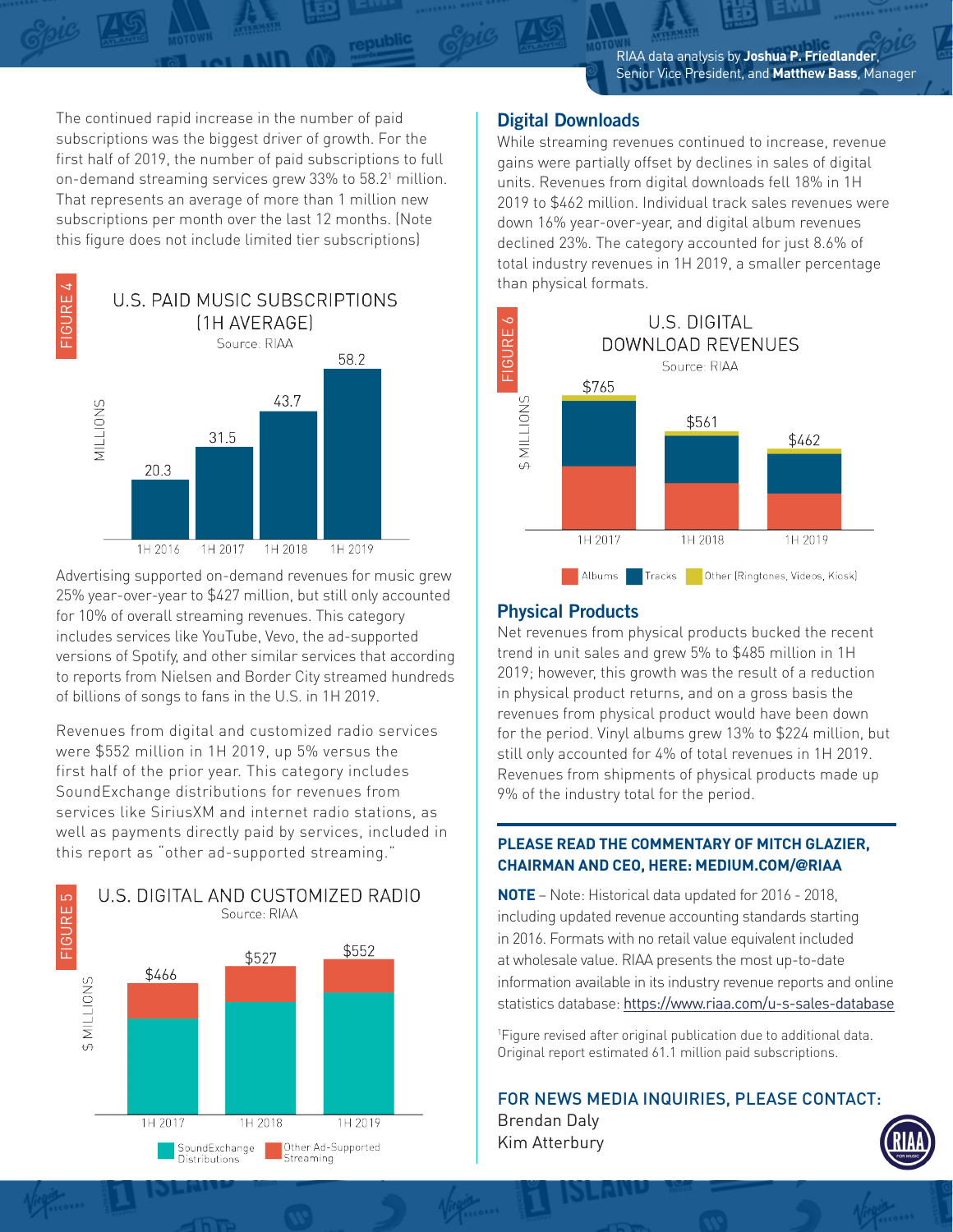The continued rapid increase in the number of paid subscriptions was the biggest driver of growth. For the first half of 2019, the number of paid subscriptions to full on-demand streaming services grew 33% to 58.21 million. That represents an average of more than 1 million new subscriptions per month over the last 12 months. (Note this figure does not include limited tier subscriptions)

republic



Advertising supported on-demand revenues for music grew 25% year-over-year to \$427 million, but still only accounted for 10% of overall streaming revenues. This category includes services like YouTube, Vevo, the ad-supported versions of Spotify, and other similar services that according to reports from Nielsen and Border City streamed hundreds of billions of songs to fans in the U.S. in 1H 2019. FIGURE 5 FIGURE 5 FIGURE 4 FIGURE 4 FIGURE 4 FIGURE 4 FIGURE 4 FIGURE 4

Revenues from digital and customized radio services were \$552 million in 1H 2019, up 5% versus the first half of the prior year. This category includes SoundExchange distributions for revenues from services like SiriusXM and internet radio stations, as well as payments directly paid by services, included in this report as "other ad-supported streaming."



#### **Digital Downloads**

While streaming revenues continued to increase, revenue gains were partially offset by declines in sales of digital units. Revenues from digital downloads fell 18% in 1H 2019 to \$462 million. Individual track sales revenues were down 16% year-over-year, and digital album revenues declined 23%. The category accounted for just 8.6% of total industry revenues in 1H 2019, a smaller percentage than physical formats.



#### **Physical Products**

Kim Atterbury

Net revenues from physical products bucked the recent trend in unit sales and grew 5% to \$485 million in 1H 2019; however, this growth was the result of a reduction in physical product returns, and on a gross basis the revenues from physical product would have been down for the period. Vinyl albums grew 13% to \$224 million, but still only accounted for 4% of total revenues in 1H 2019. Revenues from shipments of physical products made up 9% of the industry total for the period.

#### **PLEASE READ THE COMMENTARY OF MITCH GLAZIER, CHAIRMAN AND CEO, HERE: MEDIUM.COM/@RIAA**

**NOTE** – Note: Historical data updated for 2016 - 2018, including updated revenue accounting standards starting in 2016. Formats with no retail value equivalent included at wholesale value. RIAA presents the most up-to-date information available in its industry revenue reports and online statistics database: https://www.riaa.com/u-s-sales-database

1 Figure revised after original publication due to additional data. Original report estimated 61.1 million paid subscriptions.

FOR NEWS MEDIA INQUIRIES, PLEASE CONTACT: Brendan Daly